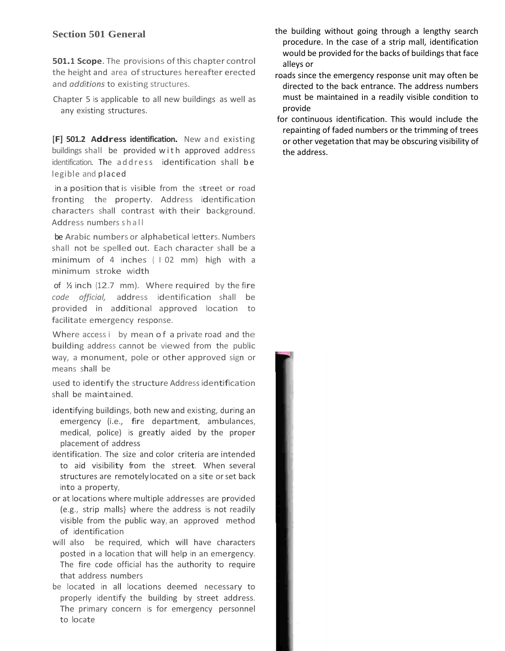## **Section 501 General**

**501.1 Scope**. The provisions of this chapter control the height and area of structures hereafter erected and *additions* to existing structures.

Chapter 5 is applicable to all new buildings as well as any existing structures.

**[F] 501.2 Address identification.** New and existing buildings shall be provided with approved address identification. The address identification shall be legible and placed

characters shall contrast with their background. in <sup>a</sup> position that is visible from the street or road fronting the property. Address identification Address numbers shall

be Arabic numbers or alphabetical letters. Numbers shall not be spelled out. Each character shall be a minimum of 4 inches ( <sup>I</sup> 02 mm) high with a minimum stroke width

of  $\frac{1}{2}$  inch (12.7 mm). Where required by the fire *code official,* address identification shall be provided in additional approved location to facilitate emergency response.

Where access i by mean of a private road and the building address cannot be viewed from the public way, a monument, pole or other approved sign or means shall be

used to identify the structure Address identification shall be maintained.

- identifying buildings, both new and existing, during an emergency (i.e., fire department, ambulances, medical, police) is greatly aided by the proper placement of address
- identification. The size and color criteria are intended to aid visibility from the street. When several structures are remotelylocated on a site or set back into a property,
- or at locations where multiple addresses are provided (e.g., strip malls} where the address is not readily visible from the public way, an approved method of identification
- will also be required, which will have characters posted in a location that will help in an emergency. The fire code official has the authority to require that address numbers

be located in all locations deemed necessary to properly identify the building by street address. The primary concern is for emergency personnel to locate

- the building without going through a lengthy search procedure. In the case of a strip mall, identification would be provided for the backs of buildings that face alleys or
- roads since the emergency response unit may often be directed to the back entrance. The address numbers must be maintained in a readily visible condition to provide
- for continuous identification. This would include the repainting of faded numbers or the trimming of trees or other vegetation that may be obscuring visibility of the address.